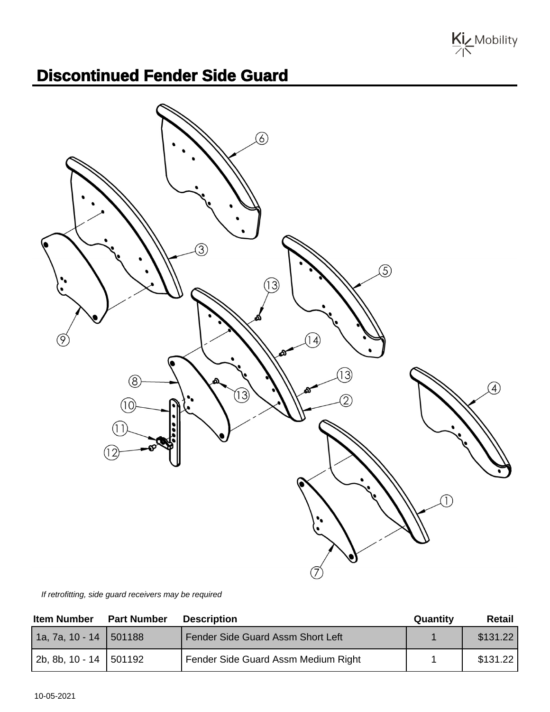Kiz Mobility

## **Discontinued Fender Side Guard**



If retrofitting, side guard receivers may be required

| <b>Item Number</b>       | <b>Part Number</b> | <b>Description</b>                  | Quantity | Retail   |
|--------------------------|--------------------|-------------------------------------|----------|----------|
| $1a, 7a, 10 - 14$ 501188 |                    | Fender Side Guard Assm Short Left   |          | \$131.22 |
| 2b, 8b, 10 - 14 501192   |                    | Fender Side Guard Assm Medium Right |          | \$131.22 |